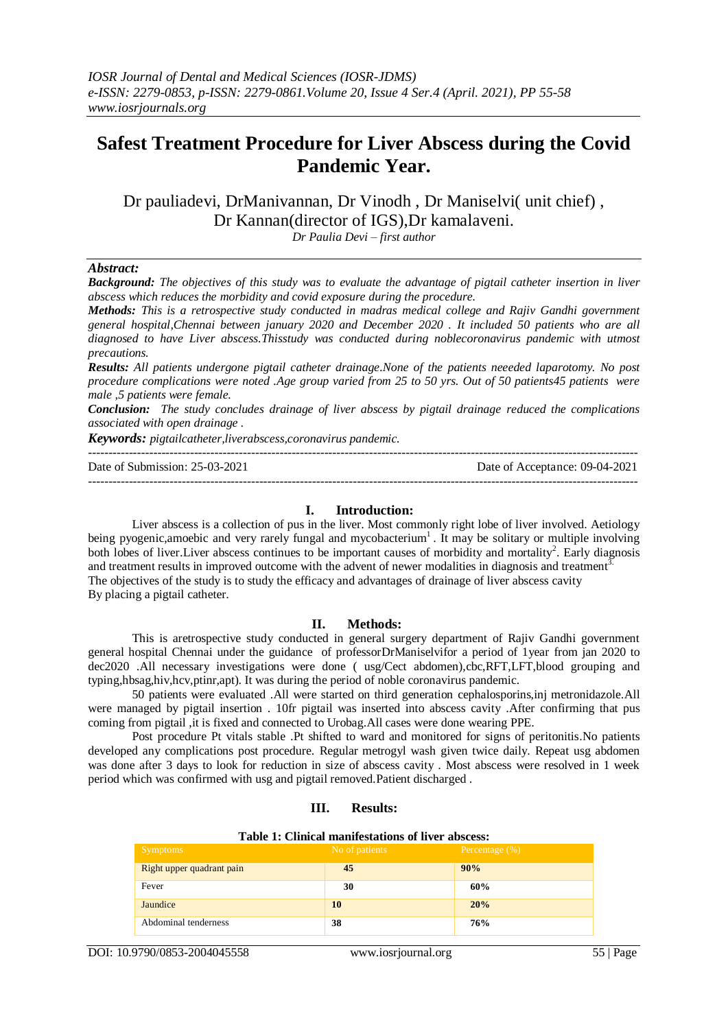# **Safest Treatment Procedure for Liver Abscess during the Covid Pandemic Year.**

Dr pauliadevi, DrManivannan, Dr Vinodh , Dr Maniselvi( unit chief) , Dr Kannan(director of IGS),Dr kamalaveni.

*Dr Paulia Devi – first author*

### *Abstract:*

*Background: The objectives of this study was to evaluate the advantage of pigtail catheter insertion in liver abscess which reduces the morbidity and covid exposure during the procedure.*

*Methods: This is a retrospective study conducted in madras medical college and Rajiv Gandhi government general hospital,Chennai between january 2020 and December 2020 . It included 50 patients who are all diagnosed to have Liver abscess.Thisstudy was conducted during noblecoronavirus pandemic with utmost precautions.*

*Results: All patients undergone pigtail catheter drainage.None of the patients neeeded laparotomy. No post procedure complications were noted .Age group varied from 25 to 50 yrs. Out of 50 patients45 patients were male ,5 patients were female.*

*Conclusion: The study concludes drainage of liver abscess by pigtail drainage reduced the complications associated with open drainage .*

*Keywords: pigtailcatheter,liverabscess,coronavirus pandemic.*

--------------------------------------------------------------------------------------------------------------------------------------- Date of Submission: 25-03-2021 Date of Acceptance: 09-04-2021

# **I. Introduction:**

---------------------------------------------------------------------------------------------------------------------------------------

Liver abscess is a collection of pus in the liver. Most commonly right lobe of liver involved. Aetiology being pyogenic, amoebic and very rarely fungal and mycobacterium<sup>1</sup>. It may be solitary or multiple involving both lobes of liver. Liver abscess continues to be important causes of morbidity and mortality<sup>2</sup>. Early diagnosis and treatment results in improved outcome with the advent of newer modalities in diagnosis and treatment<sup>3.</sup> The objectives of the study is to study the efficacy and advantages of drainage of liver abscess cavity By placing a pigtail catheter.

# **II. Methods:**

This is aretrospective study conducted in general surgery department of Rajiv Gandhi government general hospital Chennai under the guidance of professorDrManiselvifor a period of 1year from jan 2020 to dec2020 .All necessary investigations were done ( usg/Cect abdomen),cbc,RFT,LFT,blood grouping and typing,hbsag,hiv,hcv,ptinr,apt). It was during the period of noble coronavirus pandemic.

50 patients were evaluated .All were started on third generation cephalosporins,inj metronidazole.All were managed by pigtail insertion . 10fr pigtail was inserted into abscess cavity .After confirming that pus coming from pigtail ,it is fixed and connected to Urobag.All cases were done wearing PPE.

Post procedure Pt vitals stable .Pt shifted to ward and monitored for signs of peritonitis.No patients developed any complications post procedure. Regular metrogyl wash given twice daily. Repeat usg abdomen was done after 3 days to look for reduction in size of abscess cavity . Most abscess were resolved in 1 week period which was confirmed with usg and pigtail removed.Patient discharged .

# **III. Results:**

| Table 1: Clinical manifestations of liver abscess: |  |
|----------------------------------------------------|--|
|----------------------------------------------------|--|

| <b>Symptoms</b>           | No of patients | Percentage $(\%)$ |
|---------------------------|----------------|-------------------|
| Right upper quadrant pain | 45             | 90%               |
| Fever                     | 30             | 60%               |
| Jaundice                  | 10             | 20%               |
| Abdominal tenderness      | 38             | 76%               |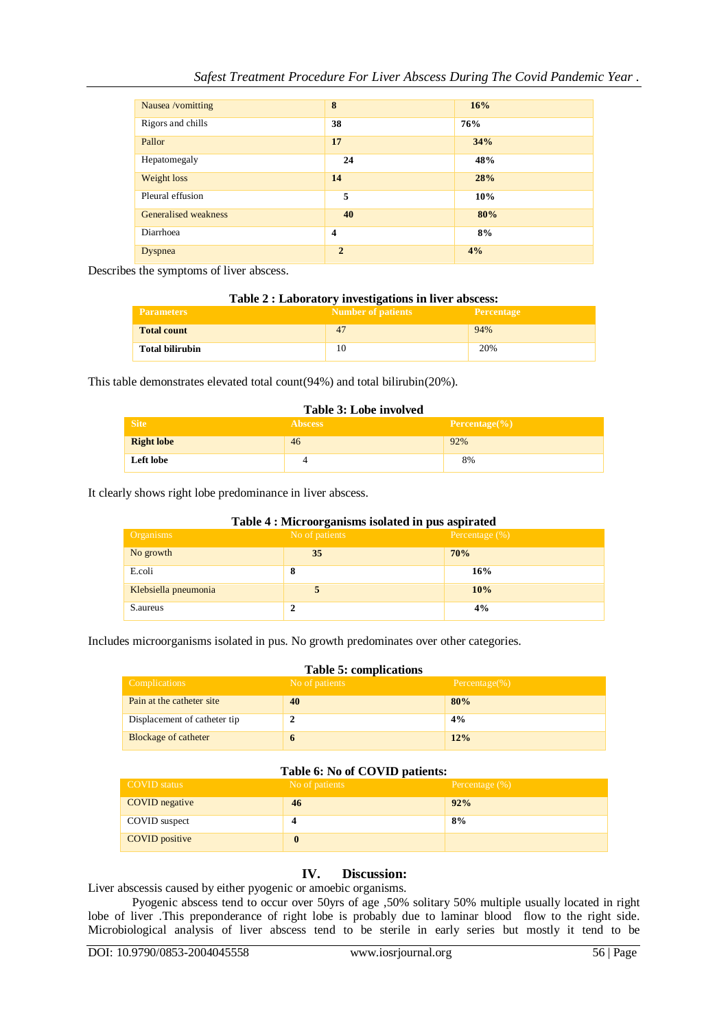| Nausea /vomitting    | 8              | 16% |
|----------------------|----------------|-----|
| Rigors and chills    | 38             | 76% |
| Pallor               | 17             | 34% |
| Hepatomegaly         | 24             | 48% |
| Weight loss          | 14             | 28% |
| Pleural effusion     | 5              | 10% |
| Generalised weakness | 40             | 80% |
| Diarrhoea            | 4              | 8%  |
| Dyspnea              | $\overline{2}$ | 4%  |

Describes the symptoms of liver abscess.

| Table 2 : Laboratory investigations in liver abscess: |
|-------------------------------------------------------|
|                                                       |

| <b>Parameters</b>      | . .<br><b>Number of patients</b> | <b>Percentage</b> |
|------------------------|----------------------------------|-------------------|
| <b>Total count</b>     | 47                               | 94%               |
| <b>Total bilirubin</b> |                                  | 20%               |

This table demonstrates elevated total count(94%) and total bilirubin(20%).

#### **Table 3: Lobe involved**

| <b>Site</b>       | <b>Abscess</b> | Percentage $(\% )$ |
|-------------------|----------------|--------------------|
| <b>Right lobe</b> | 46             | 92%                |
| <b>Left lobe</b>  |                | 8%                 |

It clearly shows right lobe predominance in liver abscess.

| Table 4 : Microorganisms isolated in pus aspirated |                |                   |
|----------------------------------------------------|----------------|-------------------|
| <b>Organisms</b>                                   | No of patients | Percentage $(\%)$ |
| No growth                                          | 35             | 70%               |
| E.coli                                             | 8              | 16%               |
| Klebsiella pneumonia                               |                | 10%               |
| S.aureus                                           |                | 4%                |

Includes microorganisms isolated in pus. No growth predominates over other categories.

## **Table 5: complications**

| Complications <sup>1</sup>   | No of patients | Percentage $(\% )$ |
|------------------------------|----------------|--------------------|
| Pain at the catheter site    | 40             | 80%                |
| Displacement of catheter tip |                | 4%                 |
| <b>Blockage of catheter</b>  | o              | 12%                |

# **Table 6: No of COVID patients:**

| COVID status   | .<br>No of patients | Percentage $(\% )$ |
|----------------|---------------------|--------------------|
| COVID negative | 46                  | 92%                |
| COVID suspect  |                     | 8%                 |
| COVID positive |                     |                    |

# **IV. Discussion:**

Liver abscessis caused by either pyogenic or amoebic organisms.

Pyogenic abscess tend to occur over 50yrs of age ,50% solitary 50% multiple usually located in right lobe of liver .This preponderance of right lobe is probably due to laminar blood flow to the right side. Microbiological analysis of liver abscess tend to be sterile in early series but mostly it tend to be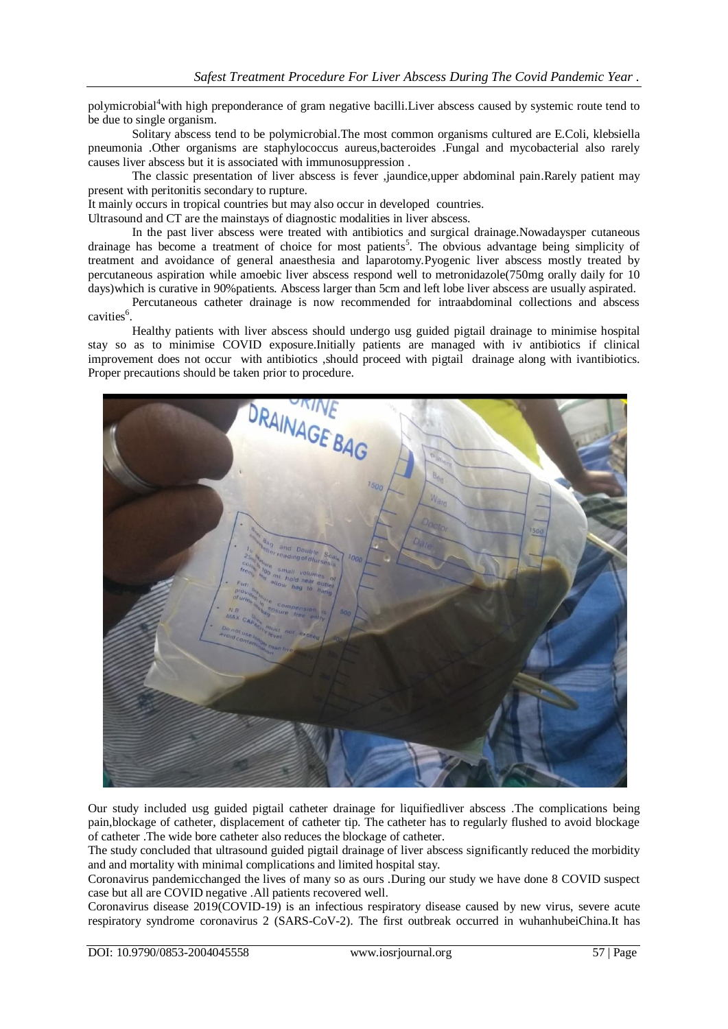polymicrobial<sup>4</sup>with high preponderance of gram negative bacilli.Liver abscess caused by systemic route tend to be due to single organism.

Solitary abscess tend to be polymicrobial.The most common organisms cultured are E.Coli, klebsiella pneumonia .Other organisms are staphylococcus aureus,bacteroides .Fungal and mycobacterial also rarely causes liver abscess but it is associated with immunosuppression .

The classic presentation of liver abscess is fever ,jaundice,upper abdominal pain.Rarely patient may present with peritonitis secondary to rupture.

It mainly occurs in tropical countries but may also occur in developed countries.

Ultrasound and CT are the mainstays of diagnostic modalities in liver abscess.

In the past liver abscess were treated with antibiotics and surgical drainage.Nowadaysper cutaneous drainage has become a treatment of choice for most patients<sup>5</sup>. The obvious advantage being simplicity of treatment and avoidance of general anaesthesia and laparotomy.Pyogenic liver abscess mostly treated by percutaneous aspiration while amoebic liver abscess respond well to metronidazole(750mg orally daily for 10 days)which is curative in 90%patients. Abscess larger than 5cm and left lobe liver abscess are usually aspirated.

Percutaneous catheter drainage is now recommended for intraabdominal collections and abscess cavities<sup>6</sup>.

Healthy patients with liver abscess should undergo usg guided pigtail drainage to minimise hospital stay so as to minimise COVID exposure.Initially patients are managed with iv antibiotics if clinical improvement does not occur with antibiotics ,should proceed with pigtail drainage along with ivantibiotics. Proper precautions should be taken prior to procedure.



Our study included usg guided pigtail catheter drainage for liquifiedliver abscess .The complications being pain,blockage of catheter, displacement of catheter tip. The catheter has to regularly flushed to avoid blockage of catheter .The wide bore catheter also reduces the blockage of catheter.

The study concluded that ultrasound guided pigtail drainage of liver abscess significantly reduced the morbidity and and mortality with minimal complications and limited hospital stay.

Coronavirus pandemicchanged the lives of many so as ours .During our study we have done 8 COVID suspect case but all are COVID negative .All patients recovered well.

Coronavirus disease 2019(COVID-19) is an infectious respiratory disease caused by new virus, severe acute respiratory syndrome coronavirus 2 (SARS-CoV-2). The first outbreak occurred in wuhanhubeiChina.It has